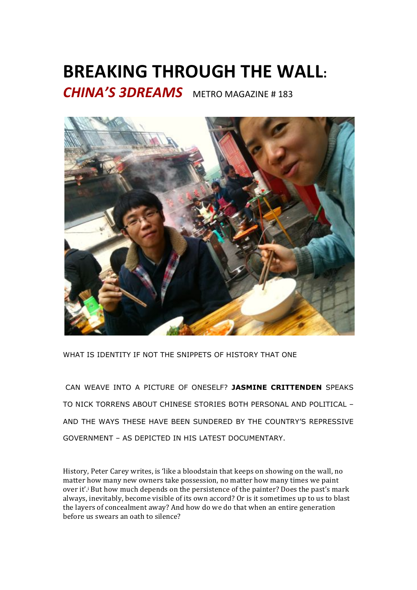## **BREAKING THROUGH THE WALL:**

**CHINA'S 3DREAMS** METRO MAGAZINE #183



WHAT IS IDENTITY IF NOT THE SNIPPETS OF HISTORY THAT ONE

 CAN WEAVE INTO A PICTURE OF ONESELF? **JASMINE CRITTENDEN** SPEAKS TO NICK TORRENS ABOUT CHINESE STORIES BOTH PERSONAL AND POLITICAL – AND THE WAYS THESE HAVE BEEN SUNDERED BY THE COUNTRY'S REPRESSIVE GOVERNMENT – AS DEPICTED IN HIS LATEST DOCUMENTARY.

History, Peter Carey writes, is 'like a bloodstain that keeps on showing on the wall, no matter how many new owners take possession, no matter how many times we paint over it'.<sup>i</sup> But how much depends on the persistence of the painter? Does the past's mark always, inevitably, become visible of its own accord? Or is it sometimes up to us to blast the layers of concealment away? And how do we do that when an entire generation before us swears an oath to silence?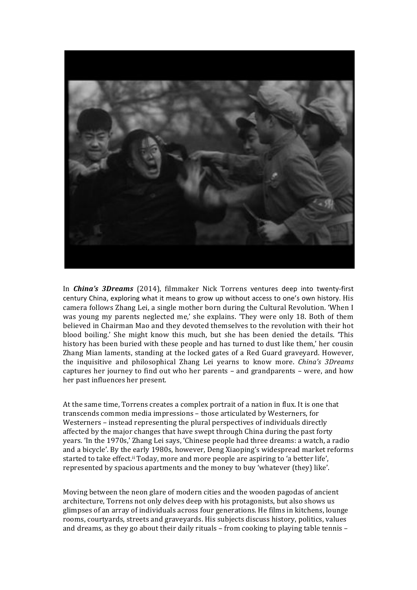

In *China's 3Dreams* (2014), filmmaker Nick Torrens ventures deep into twenty-first century China, exploring what it means to grow up without access to one's own history. His camera follows Zhang Lei, a single mother born during the Cultural Revolution. 'When I was young my parents neglected me,' she explains. 'They were only 18. Both of them believed in Chairman Mao and they devoted themselves to the revolution with their hot blood boiling.' She might know this much, but she has been denied the details. 'This history has been buried with these people and has turned to dust like them,' her cousin Zhang Mian laments, standing at the locked gates of a Red Guard graveyard. However, the) inquisitive) and) philosophical) Zhang) Lei) yearns) to) know) more.) *China's( 3Dreams* captures her journey to find out who her parents - and grandparents - were, and how her past influences her present.

At the same time, Torrens creates a complex portrait of a nation in flux. It is one that transcends common media impressions - those articulated by Westerners, for Westerners – instead representing the plural perspectives of individuals directly affected by the major changes that have swept through China during the past forty years. 'In the 1970s,' Zhang Lei says, 'Chinese people had three dreams: a watch, a radio and a bicycle'. By the early 1980s, however, Deng Xiaoping's widespread market reforms started to take effect.<sup>ii</sup> Today, more and more people are aspiring to 'a better life', represented by spacious apartments and the money to buy 'whatever (they) like'.

Moving between the neon glare of modern cities and the wooden pagodas of ancient architecture, Torrens not only delves deep with his protagonists, but also shows us glimpses of an array of individuals across four generations. He films in kitchens, lounge rooms, courtyards, streets and graveyards. His subjects discuss history, politics, values and dreams, as they go about their daily rituals – from cooking to playing table tennis –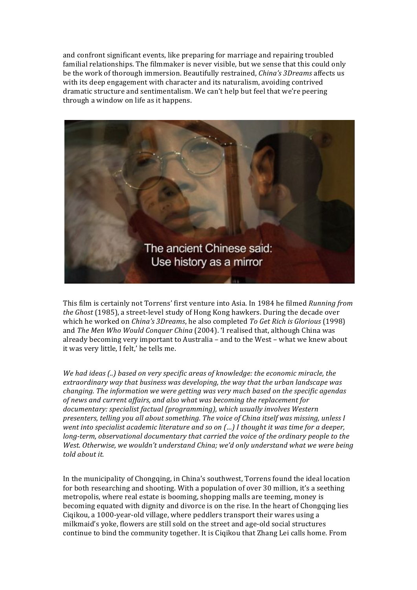and confront significant events, like preparing for marriage and repairing troubled familial relationships. The filmmaker is never visible, but we sense that this could only be the work of thorough immersion. Beautifully restrained, *China's 3Dreams* affects us with its deep engagement with character and its naturalism, avoiding contrived dramatic structure and sentimentalism. We can't help but feel that we're peering through a window on life as it happens.



This)film)is)certainly)not)Torrens')first)venture)into)Asia. In)1984)he)filmed *Running(from( the Ghost* (1985), a street-level study of Hong Kong hawkers. During the decade over which he worked on *China's 3Dreams*, he also completed *To Get Rich is Glorious* (1998) and *The Men Who Would Conquer China* (2004). 'I realised that, although China was already becoming very important to Australia – and to the West – what we knew about it was very little, I felt,' he tells me.

*We had ideas (..) based on very specific areas of knowledge: the economic miracle, the* extraordinary way that business was developing, the way that the urban landscape was *changing. The information we were getting was very much based on the specific agendas of news and current affairs, and also what was becoming the replacement for* documentary: specialist factual (programming), which usually involves Western *presenters, telling you all about something. The voice of China itself was missing, unless I went into specialist academic literature and so on (...) I thought it was time for a deeper, long-term, observational documentary that carried the voice of the ordinary people to the West. Otherwise, we wouldn't understand China; we'd only understand what we were being* told about it.

In the municipality of Chongqing, in China's southwest, Torrens found the ideal location for both researching and shooting. With a population of over 30 million, it's a seething metropolis, where real estate is booming, shopping malls are teeming, money is becoming equated with dignity and divorce is on the rise. In the heart of Chongqing lies Cigikou, a 1000-year-old village, where peddlers transport their wares using a milkmaid's yoke, flowers are still sold on the street and age-old social structures continue to bind the community together. It is Ciqikou that Zhang Lei calls home. From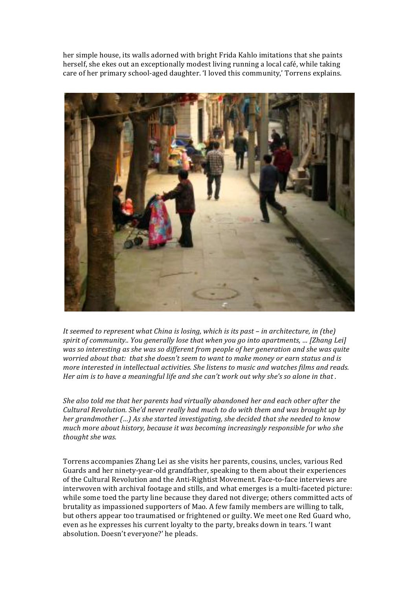her simple house, its walls adorned with bright Frida Kahlo imitations that she paints herself, she ekes out an exceptionally modest living running a local café, while taking care of her primary school-aged daughter. 'I loved this community,' Torrens explains.



*It seemed to represent what China is losing, which is its past – in architecture, in (the) spirit of community.. You generally lose that when you go into apartments, ... [Zhang Lei]* was so interesting as she was so different from people of her generation and she was quite *worried about that: that she doesn't seem to want to make money or earn status and is more interested in intellectual activities. She listens to music and watches films and reads. Her aim is to have a meaningful life and she can't work out why she's so alone in that .* 

*She also told me that her parents had virtually abandoned her and each other after the Cultural Revolution. She'd never really had much to do with them and was brought up by her grandmother (…) As she started investigating, she decided that she needed to know much more about history, because it was becoming increasingly responsible for who she thought she was.* 

Torrens accompanies Zhang Lei as she visits her parents, cousins, uncles, various Red Guards and her ninety-year-old grandfather, speaking to them about their experiences of the Cultural Revolution and the Anti-Rightist Movement. Face-to-face interviews are interwoven with archival footage and stills, and what emerges is a multi-faceted picture: while some toed the party line because they dared not diverge; others committed acts of brutality as impassioned supporters of Mao. A few family members are willing to talk, but others appear too traumatised or frightened or guilty. We meet one Red Guard who, even as he expresses his current loyalty to the party, breaks down in tears. 'I want absolution. Doesn't everyone?' he pleads.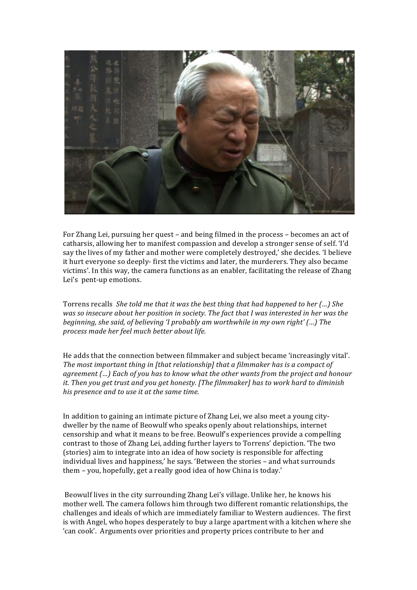

For Zhang Lei, pursuing her quest – and being filmed in the process – becomes an act of catharsis, allowing her to manifest compassion and develop a stronger sense of self. 'I'd say the lives of my father and mother were completely destroyed,' she decides. 'I believe it hurt everyone so deeply-first the victims and later, the murderers. They also became victims'. In this way, the camera functions as an enabler, facilitating the release of Zhang Lei's pent-up emotions.

Torrens recalls She told me that it was the best thing that had happened to her (...) She *was so insecure about her position in society. The fact that I was interested in her was the beginning, she said, of believing 'I probably am worthwhile in my own right' (...) The*  $p$ rocess made her feel much better about life.

He adds that the connection between filmmaker and subject became 'increasingly vital'. The most important thing in [that relationship] that a filmmaker has is a compact of *agreement (…) Each of you has to know what the other wants from the project and honour it.* Then you get trust and you get honesty. [The filmmaker] has to work hard to diminish *his presence and to use it at the same time.* 

In addition to gaining an intimate picture of Zhang Lei, we also meet a young citydweller by the name of Beowulf who speaks openly about relationships, internet censorship and what it means to be free. Beowulf's experiences provide a compelling contrast to those of Zhang Lei, adding further layers to Torrens' depiction. 'The two (stories) aim to integrate into an idea of how society is responsible for affecting individual lives and happiness,' he says. 'Between the stories – and what surrounds them – you, hopefully, get a really good idea of how China is today.'

Beowulf lives in the city surrounding Zhang Lei's village. Unlike her, he knows his mother well. The camera follows him through two different romantic relationships, the challenges and ideals of which are immediately familiar to Western audiences. The first is with Angel, who hopes desperately to buy a large apartment with a kitchen where she 'can cook'. Arguments over priorities and property prices contribute to her and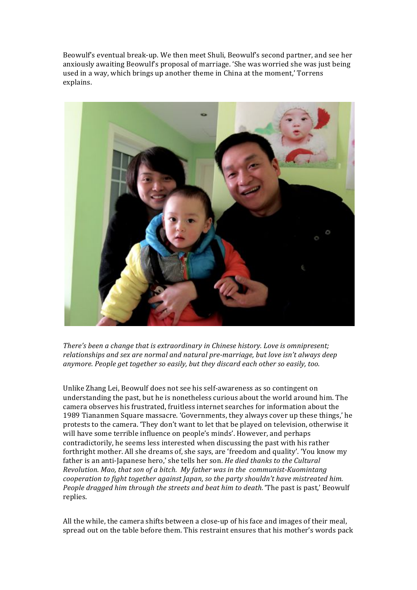Beowulf's eventual break-up. We then meet Shuli, Beowulf's second partner, and see her anxiously awaiting Beowulf's proposal of marriage. 'She was worried she was just being used in a way, which brings up another theme in China at the moment,' Torrens explains.



*There's been a change that is extraordinary in Chinese history. Love is omnipresent; relationships and sex are normal and natural pre-marriage, but love isn't always deep* anymore. People get together so easily, but they discard each other so easily, too.

Unlike Zhang Lei, Beowulf does not see his self-awareness as so contingent on understanding the past, but he is nonetheless curious about the world around him. The camera observes his frustrated, fruitless internet searches for information about the 1989 Tiananmen Square massacre. 'Governments, they always cover up these things,' he protests to the camera. 'They don't want to let that be played on television, otherwise it will have some terrible influence on people's minds'. However, and perhaps contradictorily, he seems less interested when discussing the past with his rather forthright mother. All she dreams of, she says, are 'freedom and quality'. 'You know my father is an anti-Japanese hero,' she tells her son. *He died thanks to the Cultural Revolution. Mao, that son of a bitch. My father was in the communist-Kuomintang cooperation to fight together against Japan, so the party shouldn't have mistreated him. People dragged him through the streets and beat him to death.* 'The past is past,' Beowulf replies.)

All the while, the camera shifts between a close-up of his face and images of their meal, spread out on the table before them. This restraint ensures that his mother's words pack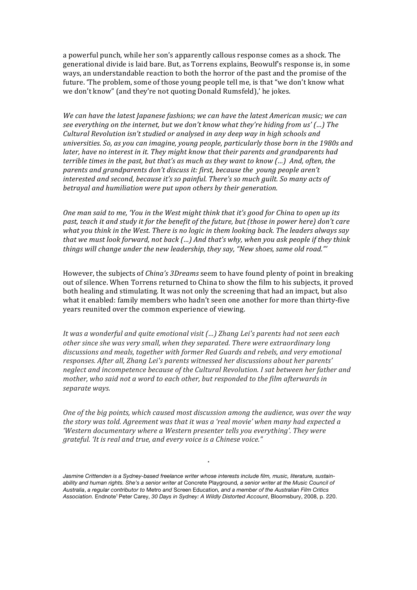a powerful punch, while her son's apparently callous response comes as a shock. The generational divide is laid bare. But, as Torrens explains, Beowulf's response is, in some ways, an understandable reaction to both the horror of the past and the promise of the future. The problem, some of those young people tell me, is that "we don't know what we don't know" (and they're not quoting Donald Rumsfeld),' he jokes.

*We can have the latest Japanese fashions; we can have the latest American music; we can see everything on the internet, but we don't know what they're hiding from us'(...) The* Cultural Revolution isn't studied or analysed in any deep way in high schools and *universities.* So, as you can imagine, young people, particularly those born in the 1980s and *later, have no interest in it. They might know that their parents and grandparents had terrible times in the past, but that's as much as they want to know (...)* And, often, the *parents and grandparents don't discuss it: first, because the young people aren't interested and second, because it's so painful. There's so much guilt. So many acts of* betrayal and humiliation were put upon others by their generation.

*One man said to me, 'You in the West might think that it's good for China to open up its past, teach it and study it for the benefit of the future, but (those in power here) don't care what you think in the West. There is no logic in them looking back. The leaders always say that we must look forward, not back (…) And that's why, when you ask people if they think* things will change under the new leadership, they say, "New shoes, same old road."'

However, the subjects of *China's 3Dreams* seem to have found plenty of point in breaking out of silence. When Torrens returned to China to show the film to his subjects, it proved both healing and stimulating. It was not only the screening that had an impact, but also what it enabled: family members who hadn't seen one another for more than thirty-five years reunited over the common experience of viewing.

*It* was a wonderful and quite emotional visit (...) Zhang Lei's parents had not seen each *other since she was very small, when they separated. There were extraordinary long discussions(and(meals,(together with(former(Red(Guards(and(rebels, and(very(emotional(* responses. After all, Zhang Lei's parents witnessed her discussions about her parents' *neglect and incompetence because of the Cultural Revolution. I sat between her father and mother, who said not a word to each other, but responded to the film afterwards in* separate ways.

*One of the big points, which caused most discussion among the audience, was over the way* the story was told. Agreement was that it was a 'real movie' when many had expected a *'Western documentary where a Western presenter tells you everything'. They were grateful. 'It is real and true, and every voice is a Chinese voice."* 

*\**

*Jasmine Crittenden is a Sydney-based freelance writer whose interests include film, music, literature, sustainability and human rights. She's a senior writer at* Concrete Playground*, a senior writer at the Music Council of Australia*, *a regular contributor to* Metro *and* Screen Education*, and a member of the Australian Film Critics Association.* Endnote1 Peter Carey, *30 Days in Sydney: A Wildly Distorted Account*, Bloomsbury, 2008, p. 220.